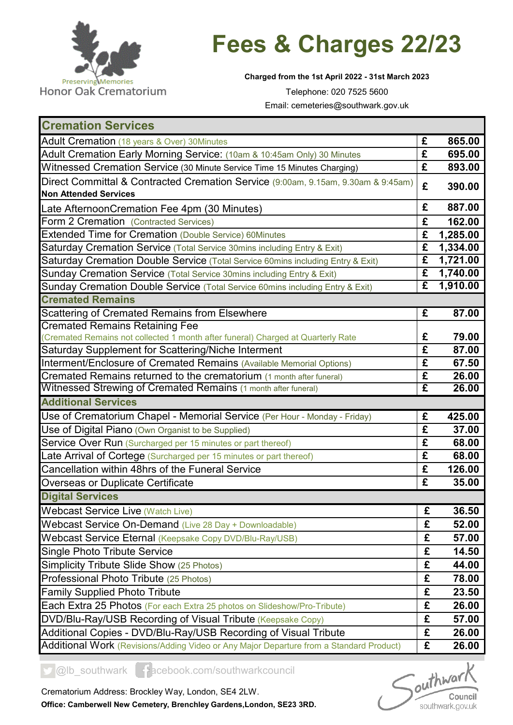

## **Fees & Charges 22/23**

**Charged from the 1st April 2022 - 31st March 2023**

Telephone: 020 7525 5600 Email: cemeteries@southwark.gov.uk

| <b>Cremation Services</b>                                                               |                         |          |
|-----------------------------------------------------------------------------------------|-------------------------|----------|
| Adult Cremation (18 years & Over) 30Minutes                                             | £                       | 865.00   |
| Adult Cremation Early Morning Service: (10am & 10:45am Only) 30 Minutes                 | £                       | 695.00   |
| Witnessed Cremation Service (30 Minute Service Time 15 Minutes Charging)                | £                       | 893.00   |
| Direct Committal & Contracted Cremation Service (9:00am, 9.15am, 9.30am & 9:45am)       | £                       | 390.00   |
| <b>Non Attended Services</b>                                                            |                         |          |
| Late AfternoonCremation Fee 4pm (30 Minutes)                                            | £                       | 887.00   |
| Form 2 Cremation (Contracted Services)                                                  | £                       | 162.00   |
| Extended Time for Cremation (Double Service) 60Minutes                                  | £                       | 1,285.00 |
| Saturday Cremation Service (Total Service 30mins including Entry & Exit)                | £                       | 1,334.00 |
| Saturday Cremation Double Service (Total Service 60mins including Entry & Exit)         | £                       | 1,721.00 |
| Sunday Cremation Service (Total Service 30mins including Entry & Exit)                  | £                       | 1,740.00 |
| Sunday Cremation Double Service (Total Service 60mins including Entry & Exit)           | $\overline{\mathbf{f}}$ | 1,910.00 |
| <b>Cremated Remains</b>                                                                 |                         |          |
| Scattering of Cremated Remains from Elsewhere                                           | £                       | 87.00    |
| <b>Cremated Remains Retaining Fee</b>                                                   |                         |          |
| (Cremated Remains not collected 1 month after funeral) Charged at Quarterly Rate        | £                       | 79.00    |
| Saturday Supplement for Scattering/Niche Interment                                      | £                       | 87.00    |
| Interment/Enclosure of Cremated Remains (Available Memorial Options)                    | £                       | 67.50    |
| Cremated Remains returned to the crematorium (1 month after funeral)                    | $\overline{\mathbf{f}}$ | 26.00    |
| Witnessed Strewing of Cremated Remains (1 month after funeral)                          | $\overline{\mathbf{f}}$ | 26.00    |
| <b>Additional Services</b>                                                              |                         |          |
| Use of Crematorium Chapel - Memorial Service (Per Hour - Monday - Friday)               | £                       | 425.00   |
| Use of Digital Piano (Own Organist to be Supplied)                                      | £                       | 37.00    |
| Service Over Run (Surcharged per 15 minutes or part thereof)                            | £                       | 68.00    |
| Late Arrival of Cortege (Surcharged per 15 minutes or part thereof)                     | £                       | 68.00    |
| Cancellation within 48hrs of the Funeral Service                                        | £                       | 126.00   |
| <b>Overseas or Duplicate Certificate</b>                                                | £                       | 35.00    |
| <b>Digital Services</b>                                                                 |                         |          |
| <b>Webcast Service Live (Watch Live)</b>                                                | £                       | 36.50    |
| Webcast Service On-Demand (Live 28 Day + Downloadable)                                  | £                       | 52.00    |
| Webcast Service Eternal (Keepsake Copy DVD/Blu-Ray/USB)                                 | £                       | 57.00    |
| <b>Single Photo Tribute Service</b>                                                     | £                       | 14.50    |
| Simplicity Tribute Slide Show (25 Photos)                                               | £                       | 44.00    |
| Professional Photo Tribute (25 Photos)                                                  | £                       | 78.00    |
| <b>Family Supplied Photo Tribute</b>                                                    | £                       | 23.50    |
| Each Extra 25 Photos (For each Extra 25 photos on Slideshow/Pro-Tribute)                | £                       | 26.00    |
| DVD/Blu-Ray/USB Recording of Visual Tribute (Keepsake Copy)                             | £                       | 57.00    |
| Additional Copies - DVD/Blu-Ray/USB Recording of Visual Tribute                         | £                       | 26.00    |
| Additional Work (Revisions/Adding Video or Any Major Departure from a Standard Product) | £                       | 26.00    |

@lb\_southwark facebook.com/southwarkcouncil

 $\int_{\text{out}}^{\text{in}}$ Council southwark.gov.uk

Crematorium Address: Brockley Way, London, SE4 2LW.

**Office: Camberwell New Cemetery, Brenchley Gardens,London, SE23 3RD.**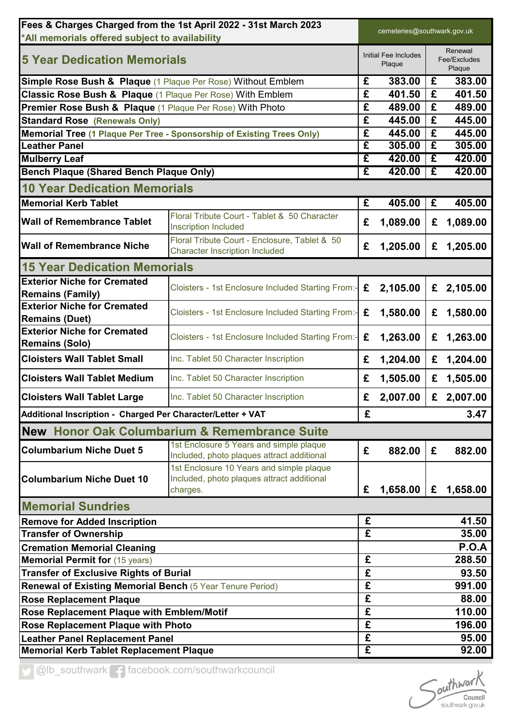| Fees & Charges Charged from the 1st April 2022 - 31st March 2023<br>*All memorials offered subject to availability |                                                                                                    | cemeteries@southwark.gov.uk    |          |                                   |          |
|--------------------------------------------------------------------------------------------------------------------|----------------------------------------------------------------------------------------------------|--------------------------------|----------|-----------------------------------|----------|
| <b>5 Year Dedication Memorials</b>                                                                                 |                                                                                                    | Initial Fee Includes<br>Plaque |          | Renewal<br>Fee/Excludes<br>Plaque |          |
| <b>Simple Rose Bush &amp; Plaque</b> (1 Plaque Per Rose) Without Emblem                                            |                                                                                                    | £                              | 383.00   | £                                 | 383.00   |
| Classic Rose Bush & Plaque (1 Plaque Per Rose) With Emblem                                                         |                                                                                                    | $\overline{\mathbf{f}}$        | 401.50   | £                                 | 401.50   |
| Premier Rose Bush & Plaque (1 Plaque Per Rose) With Photo                                                          |                                                                                                    | £                              | 489.00   | £                                 | 489.00   |
| <b>Standard Rose (Renewals Only)</b>                                                                               |                                                                                                    | £                              | 445.00   | £                                 | 445.00   |
| <b>Memorial Tree (1 Plaque Per Tree - Sponsorship of Existing Trees Only)</b>                                      |                                                                                                    | £                              | 445.00   | £                                 | 445.00   |
| <b>Leather Panel</b>                                                                                               |                                                                                                    | £                              | 305.00   | £                                 | 305.00   |
| <b>Mulberry Leaf</b>                                                                                               |                                                                                                    | £                              | 420.00   | £                                 | 420.00   |
| <b>Bench Plaque (Shared Bench Plaque Only)</b>                                                                     |                                                                                                    | £                              | 420.00   | £                                 | 420.00   |
| <b>10 Year Dedication Memorials</b>                                                                                |                                                                                                    |                                |          |                                   |          |
| <b>Memorial Kerb Tablet</b>                                                                                        |                                                                                                    | £                              | 405.00   | £                                 | 405.00   |
| <b>Wall of Remembrance Tablet</b>                                                                                  | Floral Tribute Court - Tablet & 50 Character<br><b>Inscription Included</b>                        | £                              | 1,089.00 | £                                 | 1,089.00 |
| <b>Wall of Remembrance Niche</b>                                                                                   | Floral Tribute Court - Enclosure, Tablet & 50<br><b>Character Inscription Included</b>             | £                              | 1,205.00 | £                                 | 1,205.00 |
| <b>15 Year Dedication Memorials</b>                                                                                |                                                                                                    |                                |          |                                   |          |
| <b>Exterior Niche for Cremated</b>                                                                                 | Cloisters - 1st Enclosure Included Starting From:-                                                 | £                              | 2,105.00 | £                                 | 2,105.00 |
| <b>Remains (Family)</b>                                                                                            |                                                                                                    |                                |          |                                   |          |
| <b>Exterior Niche for Cremated</b><br><b>Remains (Duet)</b>                                                        | Cloisters - 1st Enclosure Included Starting From:-                                                 | £                              | 1,580.00 | £                                 | 1,580.00 |
| <b>Exterior Niche for Cremated</b><br><b>Remains (Solo)</b>                                                        | Cloisters - 1st Enclosure Included Starting From:-                                                 | £                              | 1,263.00 | £                                 | 1,263.00 |
| <b>Cloisters Wall Tablet Small</b>                                                                                 | Inc. Tablet 50 Character Inscription                                                               | £                              | 1,204.00 | £                                 | 1,204.00 |
| <b>Cloisters Wall Tablet Medium</b>                                                                                | Inc. Tablet 50 Character Inscription                                                               | £                              | 1,505.00 | £                                 | 1,505.00 |
| <b>Cloisters Wall Tablet Large</b>                                                                                 | Inc. Tablet 50 Character Inscription                                                               | £                              | 2,007.00 | £                                 | 2,007.00 |
| Additional Inscription - Charged Per Character/Letter + VAT                                                        |                                                                                                    | £                              |          |                                   | 3.47     |
|                                                                                                                    | New Honor Oak Columbarium & Remembrance Suite                                                      |                                |          |                                   |          |
| <b>Columbarium Niche Duet 5</b>                                                                                    | 1st Enclosure 5 Years and simple plaque<br>Included, photo plaques attract additional              | £                              | 882.00   | £                                 | 882.00   |
| <b>Columbarium Niche Duet 10</b>                                                                                   | 1st Enclosure 10 Years and simple plaque<br>Included, photo plaques attract additional<br>charges. | £                              | 1,658.00 | £                                 | 1,658.00 |
| <b>Memorial Sundries</b>                                                                                           |                                                                                                    |                                |          |                                   |          |
| <b>Remove for Added Inscription</b>                                                                                |                                                                                                    | £                              |          |                                   | 41.50    |
| <b>Transfer of Ownership</b>                                                                                       |                                                                                                    | £                              |          |                                   | 35.00    |
| <b>Cremation Memorial Cleaning</b>                                                                                 |                                                                                                    |                                |          |                                   | P.O.A    |
| <b>Memorial Permit for (15 years)</b>                                                                              |                                                                                                    | £                              |          |                                   | 288.50   |
| <b>Transfer of Exclusive Rights of Burial</b>                                                                      |                                                                                                    | £                              |          |                                   | 93.50    |
| Renewal of Existing Memorial Bench (5 Year Tenure Period)                                                          |                                                                                                    | $\overline{\mathbf{f}}$        |          |                                   | 991.00   |
| <b>Rose Replacement Plaque</b>                                                                                     |                                                                                                    | £                              |          |                                   | 88.00    |
| Rose Replacement Plaque with Emblem/Motif                                                                          |                                                                                                    | $\overline{\mathbf{f}}$        |          |                                   | 110.00   |
| Rose Replacement Plaque with Photo                                                                                 |                                                                                                    | $\overline{\mathbf{f}}$        |          |                                   | 196.00   |
| <b>Leather Panel Replacement Panel</b>                                                                             |                                                                                                    | £                              |          |                                   | 95.00    |
| <b>Memorial Kerb Tablet Replacement Plaque</b>                                                                     |                                                                                                    | £                              |          |                                   | 92.00    |

Olb\_southwark facebook.com/southwarkcouncil

Southwark